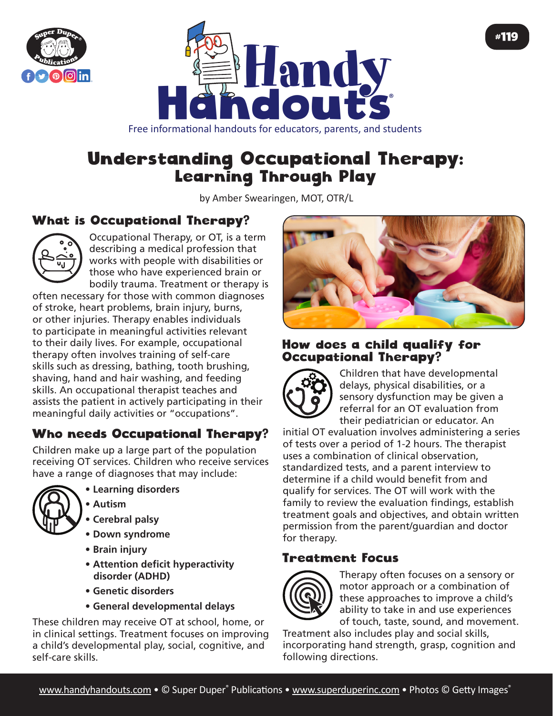



Free informational handouts for educators, parents, and students

# Understanding Occupational Therapy: Learning Through Play

by Amber Swearingen, MOT, OTR/L

# What is Occupational Therapy?



Occupational Therapy, or OT, is a term describing a medical profession that works with people with disabilities or those who have experienced brain or bodily trauma. Treatment or therapy is

often necessary for those with common diagnoses of stroke, heart problems, brain injury, burns, or other injuries. Therapy enables individuals to participate in meaningful activities relevant to their daily lives. For example, occupational therapy often involves training of self-care skills such as dressing, bathing, tooth brushing, shaving, hand and hair washing, and feeding skills. An occupational therapist teaches and assists the patient in actively participating in their meaningful daily activities or "occupations".

## Who needs Occupational Therapy?

Children make up a large part of the population receiving OT services. Children who receive services have a range of diagnoses that may include:



- **Learning disorders • Autism**
- **Cerebral palsy**
- **Down syndrome**
- **Brain injury**
- **Attention deficit hyperactivity disorder (ADHD)**
- **Genetic disorders**
- **General developmental delays**

These children may receive OT at school, home, or in clinical settings. Treatment focuses on improving a child's developmental play, social, cognitive, and self-care skills.



#### How does a child qualify for Occupational Therapy?



Children that have developmental delays, physical disabilities, or a sensory dysfunction may be given a referral for an OT evaluation from their pediatrician or educator. An

initial OT evaluation involves administering a series of tests over a period of 1-2 hours. The therapist uses a combination of clinical observation, standardized tests, and a parent interview to determine if a child would benefit from and qualify for services. The OT will work with the family to review the evaluation findings, establish treatment goals and objectives, and obtain written permission from the parent/guardian and doctor for therapy.

## Treatment Focus



Therapy often focuses on a sensory or motor approach or a combination of these approaches to improve a child's ability to take in and use experiences of touch, taste, sound, and movement.

Treatment also includes play and social skills, incorporating hand strength, grasp, cognition and following directions.